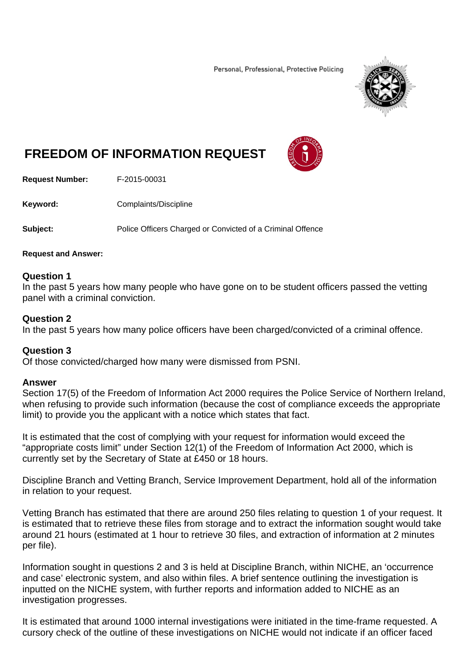Personal, Professional, Protective Policing



# **FREEDOM OF INFORMATION REQUEST**



**Request Number:** F-2015-00031

**Keyword: Complaints/Discipline** 

**Subject:** Police Officers Charged or Convicted of a Criminal Offence

#### **Request and Answer:**

### **Question 1**

In the past 5 years how many people who have gone on to be student officers passed the vetting panel with a criminal conviction.

### **Question 2**

In the past 5 years how many police officers have been charged/convicted of a criminal offence.

## **Question 3**

Of those convicted/charged how many were dismissed from PSNI.

## **Answer**

Section 17(5) of the Freedom of Information Act 2000 requires the Police Service of Northern Ireland, when refusing to provide such information (because the cost of compliance exceeds the appropriate limit) to provide you the applicant with a notice which states that fact.

It is estimated that the cost of complying with your request for information would exceed the "appropriate costs limit" under Section 12(1) of the Freedom of Information Act 2000, which is currently set by the Secretary of State at £450 or 18 hours.

Discipline Branch and Vetting Branch, Service Improvement Department, hold all of the information in relation to your request.

Vetting Branch has estimated that there are around 250 files relating to question 1 of your request. It is estimated that to retrieve these files from storage and to extract the information sought would take around 21 hours (estimated at 1 hour to retrieve 30 files, and extraction of information at 2 minutes per file).

Information sought in questions 2 and 3 is held at Discipline Branch, within NICHE, an 'occurrence and case' electronic system, and also within files. A brief sentence outlining the investigation is inputted on the NICHE system, with further reports and information added to NICHE as an investigation progresses.

It is estimated that around 1000 internal investigations were initiated in the time-frame requested. A cursory check of the outline of these investigations on NICHE would not indicate if an officer faced